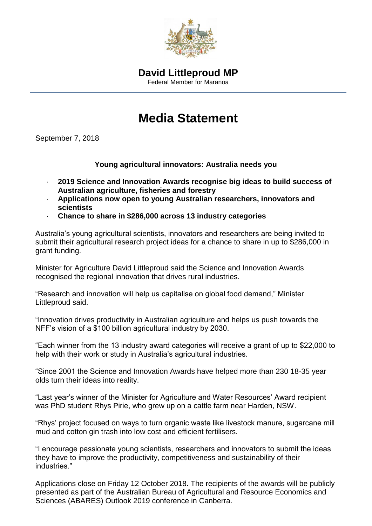

## **Media Statement**

September 7, 2018

**Young agricultural innovators: Australia needs you**

- · **2019 Science and Innovation Awards recognise big ideas to build success of Australian agriculture, fisheries and forestry**
- · **Applications now open to young Australian researchers, innovators and scientists**
- · **Chance to share in \$286,000 across 13 industry categories**

Australia's young agricultural scientists, innovators and researchers are being invited to submit their agricultural research project ideas for a chance to share in up to \$286,000 in grant funding.

Minister for Agriculture David Littleproud said the Science and Innovation Awards recognised the regional innovation that drives rural industries.

"Research and innovation will help us capitalise on global food demand," Minister Littleproud said.

"Innovation drives productivity in Australian agriculture and helps us push towards the NFF's vision of a \$100 billion agricultural industry by 2030.

"Each winner from the 13 industry award categories will receive a grant of up to \$22,000 to help with their work or study in Australia's agricultural industries.

"Since 2001 the Science and Innovation Awards have helped more than 230 18-35 year olds turn their ideas into reality.

"Last year's winner of the Minister for Agriculture and Water Resources' Award recipient was PhD student Rhys Pirie, who grew up on a cattle farm near Harden, NSW.

"Rhys' project focused on ways to turn organic waste like livestock manure, sugarcane mill mud and cotton gin trash into low cost and efficient fertilisers.

"I encourage passionate young scientists, researchers and innovators to submit the ideas they have to improve the productivity, competitiveness and sustainability of their industries."

Applications close on Friday 12 October 2018. The recipients of the awards will be publicly presented as part of the Australian Bureau of Agricultural and Resource Economics and Sciences (ABARES) Outlook 2019 conference in Canberra.